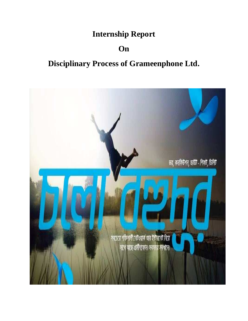## **Internship Report**

## **On**

# **Disciplinary Process of Grameenphone Ltd.**

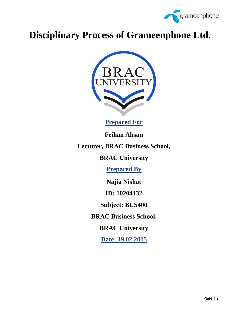

# **Disciplinary Process of Grameenphone Ltd.**



**Prepared For**

**Feihan Ahsan** 

**Lecturer, BRAC Business School,** 

**BRAC University** 

**Prepared By**

**Najia Nishat** 

**ID: 10204132** 

**Subject: BUS400** 

**BRAC Business School,** 

**BRAC University** 

**Date: 19.02.2015**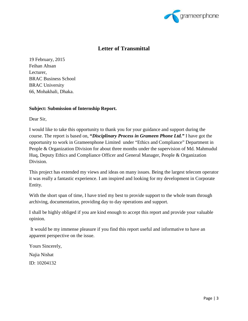

#### **Letter of Transmittal**

19 February, 2015 Feihan Ahsan Lecturer, BRAC Business School BRAC University 66, Mohakhali, Dhaka.

#### **Subject: Submission of Internship Report.**

Dear Sir,

I would like to take this opportunity to thank you for your guidance and support during the course. The report is based on, **"***Disciplinary Process in Grameen Phone Ltd."* I have got the opportunity to work in Grameenphone Limited under "Ethics and Compliance" Department in People & Organization Division for about three months under the supervision of Md. Mahmudul Huq, Deputy Ethics and Compliance Officer and General Manager, People & Organization Division.

This project has extended my views and ideas on many issues. Being the largest telecom operator it was really a fantastic experience. I am inspired and looking for my development in Corporate Entity.

With the short span of time, I have tried my best to provide support to the whole team through archiving, documentation, providing day to day operations and support.

I shall be highly obliged if you are kind enough to accept this report and provide your valuable opinion.

 It would be my immense pleasure if you find this report useful and informative to have an apparent perspective on the issue.

Yours Sincerely,

Najia Nishat

ID: 10204132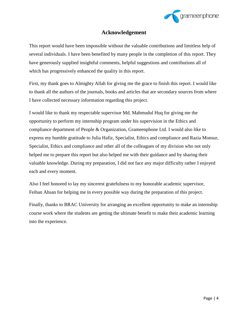

#### **Acknowledgement**

This report would have been impossible without the valuable contributions and limitless help of several individuals. I have been benefited by many people in the completion of this report. They have generously supplied insightful comments, helpful suggestions and contributions all of which has progressively enhanced the quality in this report.

First, my thank goes to Almighty Allah for giving me the grace to finish this report. I would like to thank all the authors of the journals, books and articles that are secondary sources from where I have collected necessary information regarding this project.

I would like to thank my respectable supervisor Md. Mahmudul Huq for giving me the opportunity to perform my internship program under his supervision in the Ethics and compliance department of People & Organization, Grameenphone Ltd. I would also like to express my humble gratitude to Julia Hafiz, Specialist, Ethics and compliance and Razia Monsur, Specialist, Ethics and compliance and other all of the colleagues of my division who not only helped me to prepare this report but also helped me with their guidance and by sharing their valuable knowledge. During my preparation, I did not face any major difficulty rather I enjoyed each and every moment.

Also I feel honored to lay my sincerest gratefulness to my honorable academic supervisor, Feihan Ahsan for helping me in every possible way during the preparation of this project.

Finally, thanks to BRAC University for arranging an excellent opportunity to make an internship course work where the students are getting the ultimate benefit to make their academic learning into the experience.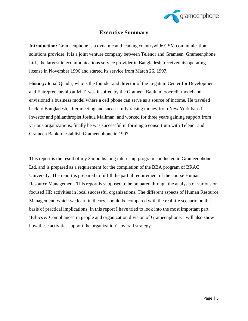

#### **Executive Summary**

**Introduction:** Grameenphone is a dynamic and leading countrywide GSM communication solutions provider. It is a joint venture company between Telenor and Grameen. Grameenphone Ltd., the largest telecommunications service provider in Bangladesh, received its operating license in November 1996 and started its service from March 26, 1997.

**History:** Iqbal Quadir, who is the founder and director of the Legatum Center for Development and Entrepreneurship at MIT was inspired by the Grameen Bank microcredit model and envisioned a business model where a cell phone can serve as a source of income. He traveled back to Bangladesh, after meeting and successfully raising money from New York based investor and philanthropist Joshua Mailman, and worked for three years gaining support from various organizations, finally he was successful in forming a consortium with Telenor and Grameen Bank to establish Grameenphone in 1997.

This report is the result of my 3 months long internship program conducted in Grameenphone Ltd. and is prepared as a requirement for the completion of the BBA program of BRAC University. The report is prepared to fulfill the partial requirement of the course Human Resource Management. This report is supposed to be prepared through the analysis of various or focused HR activities in local successful organizations. The different aspects of Human Resource Management, which we learn in theory, should be compared with the real life scenario on the basis of practical implications. In this report I have tried to look into the most important part 'Ethics & Compliance" in people and organization division of Grameenphone. I will also show how these activities support the organization's overall strategy.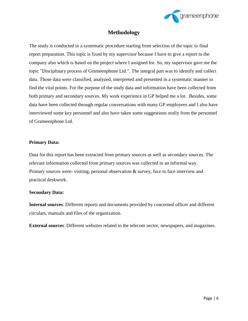

#### **Methodology**

The study is conducted in a systematic procedure starting from selection of the topic to final report preparation. This topic is fixed by my supervisor because I have to give a report to the company also which is based on the project where I assigned for. So, my supervisor gave me the topic "Disciplinary process of Grameenphone Ltd.". The integral part was to identify and collect data. Those data were classified, analyzed, interpreted and presented in a systematic manner to find the vital points. For the purpose of the study data and information have been collected from both primary and secondary sources. My work experience in GP helped me a lot. Besides, some data have been collected through regular conversations with many GP employees and I also have interviewed some key personnel and also have taken some suggestions orally from the personnel of Grameenphone Ltd.

#### **Primary Data:**

Data for this report has been extracted from primary sources as well as secondary sources. The relevant information collected from primary sources was collected in an informal way. Primary sources were- visiting, personal observation & survey, face to face interview and practical deskwork.

#### **Secondary Data:**

**Internal sources**: Different reports and documents provided by concerned officer and different circulars, manuals and files of the organization.

**External sources**: Different websites related to the telecom sector, newspapers, and magazines.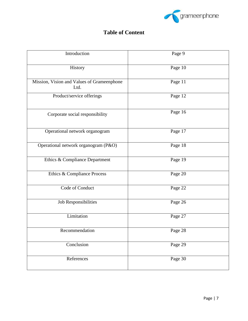

### **Table of Content**

| Introduction                                       | Page 9    |
|----------------------------------------------------|-----------|
| History                                            | Page 10   |
| Mission, Vision and Values of Grameenphone<br>Ltd. | Page 11   |
| Product/service offerings                          | Page $12$ |
| Corporate social responsibility                    | Page 16   |
| Operational network organogram                     | Page 17   |
| Operational network organogram (P&O)               | Page 18   |
| Ethics & Compliance Department                     | Page 19   |
| Ethics & Compliance Process                        | Page 20   |
| Code of Conduct                                    | Page 22   |
| Job Responsibilities                               | Page 26   |
| Limitation                                         | Page 27   |
| Recommendation                                     | Page 28   |
| Conclusion                                         | Page 29   |
| References                                         | Page 30   |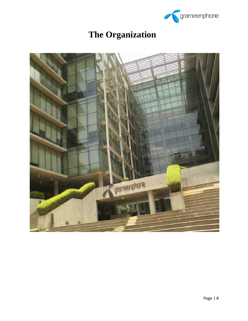

# **The Organization**

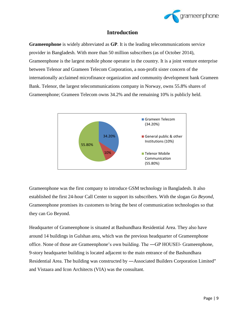

#### **Introduction**

**Grameenphone** is widely abbreviated as **GP**. It is the leading telecommunications service provider in Bangladesh. With more than 50 million subscribers (as of October 2014), Grameenphone is the largest mobile phone operator in the country. It is a joint venture enterprise between Telenor and Grameen Telecom Corporation, a non-profit sister concern of the internationally acclaimed microfinance organization and community development bank Grameen Bank. Telenor, the largest telecommunications company in Norway, owns 55.8% shares of Grameenphone; Grameen Telecom owns 34.2% and the remaining 10% is publicly held.



Grameenphone was the first company to introduce GSM technology in Bangladesh. It also established the first 24-hour Call Center to support its subscribers. With the slogan *Go Beyond*, Grameenphone promises its customers to bring the best of communication technologies so that they can Go Beyond.

Headquarter of Grameenphone is situated at Bashundhara Residential Area. They also have around 14 buildings in Gulshan area, which was the previous headquarter of Grameenphone office. None of those are Grameenphone's own building. The ―GP HOUSEǁ- Grameenphone, 9-story headquarter building is located adjacent to the main entrance of the Bashundhara Residential Area. The building was constructed by ―Associated Builders Corporation Limited" and Vistaara and Icon Architects (VIA) was the consultant.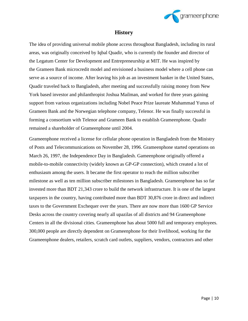

#### **History**

The idea of providing universal mobile phone access throughout Bangladesh, including its rural areas, was originally conceived by Iqbal Quadir, who is currently the founder and director of the Legatum Center for Development and Entrepreneurship at MIT. He was inspired by the Grameen Bank microcredit model and envisioned a business model where a cell phone can serve as a source of income. After leaving his job as an investment banker in the United States, Quadir traveled back to Bangladesh, after meeting and successfully raising money from New York based investor and philanthropist Joshua Mailman, and worked for three years gaining support from various organizations including Nobel Peace Prize laureate Muhammad Yunus of Grameen Bank and the Norwegian telephone company, Telenor. He was finally successful in forming a consortium with Telenor and Grameen Bank to establish Grameenphone. Quadir remained a shareholder of Grameenphone until 2004.

Grameenphone received a license for cellular phone operation in Bangladesh from the Ministry of Posts and Telecommunications on November 28, 1996. Grameenphone started operations on March 26, 1997, the Independence Day in Bangladesh. Gameenphone originally offered a mobile-to-mobile connectivity (widely known as GP-GP connection), which created a lot of enthusiasm among the users. It became the first operator to reach the million subscriber milestone as well as ten million subscriber milestones in Bangladesh. Grameenphone has so far invested more than BDT 21,343 crore to build the network infrastructure. It is one of the largest taxpayers in the country, having contributed more than BDT 30,876 crore in direct and indirect taxes to the Government Exchequer over the years. There are now more than 1600 GP Service Desks across the country covering nearly all upazilas of all districts and 94 Grameenphone Centers in all the divisional cities. Grameenphone has about 5000 full and temporary employees. 300,000 people are directly dependent on Grameenphone for their livelihood, working for the Grameenphone dealers, retailers, scratch card outlets, suppliers, vendors, contractors and other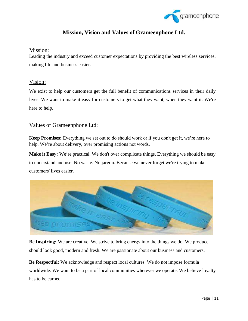

#### **Mission, Vision and Values of Grameenphone Ltd.**

#### Mission:

Leading the industry and exceed customer expectations by providing the best wireless services, making life and business easier.

#### Vision:

We exist to help our customers get the full benefit of communications services in their daily lives. We want to make it easy for customers to get what they want, when they want it. We're here to help.

#### Values of Grameenphone Ltd:

**Keep Promises:** Everything we set out to do should work or if you don't get it, we're here to help. We're about delivery, over promising actions not words.

**Make it Easy:** We're practical. We don't over complicate things. Everything we should be easy to understand and use. No waste. No jargon. Because we never forget we're trying to make customers' lives easier.



**Be Inspiring:** We are creative. We strive to bring energy into the things we do. We produce should look good, modern and fresh. We are passionate about our business and customers.

**Be Respectful:** We acknowledge and respect local cultures. We do not impose formula worldwide. We want to be a part of local communities wherever we operate. We believe loyalty has to be earned.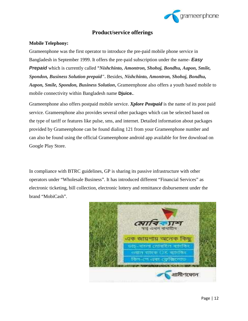

#### **Product/service offerings**

#### **Mobile Telephony:**

Grameenphone was the first operator to introduce the pre-paid mobile phone service in Bangladesh in September 1999. It offers the pre-paid subscription under the name- **Easy Prepaid** which is currently called **"***Nishchinto, Amontron, Shohoj, Bondhu, Aapon, Smile, Spondon, Business Solution prepaid"***.** Besides, *Nishchinto, Amontron, Shohoj, Bondhu, Aapon, Smile, Spondon, Business Solution***,** Grameenphone also offers a youth based mobile to mobile connectivity within Bangladesh name **Djuice.**.

Grameenphone also offers postpaid mobile service. *Xplore Postpaid* is the name of its post paid service. Grameenphone also provides several other packages which can be selected based on the type of tariff or features like pulse, sms, and internet. Detailed information about packages provided by Grameenphone can be found dialing 121 from your Grameenphone number and can also be found using the official Grameenphone android app available for free download on Google Play Store.

In compliance with BTRC guidelines, GP is sharing its passive infrastructure with other operators under "Wholesale Business". It has introduced different "Financial Services" as electronic ticketing, bill collection, electronic lottery and remittance disbursement under the brand "MobiCash".

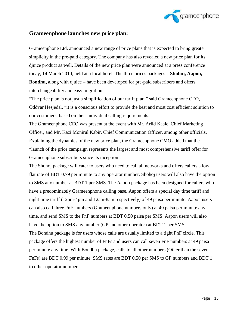

#### **Grameenphone launches new price plan:**

Grameenphone Ltd. announced a new range of price plans that is expected to bring greater simplicity in the pre-paid category. The company has also revealed a new price plan for its djuice product as well. Details of the new price plan were announced at a press conference today, 14 March 2010, held at a local hotel. The three prices packages – **Shohoj, Aapon, Bondhu,** along with djuice – have been developed for pre-paid subscribers and offers interchangeability and easy migration.

"The price plan is not just a simplification of our tariff plan," said Grameenphone CEO, Oddvar Hesjedal, "it is a conscious effort to provide the best and most cost efficient solution to our customers, based on their individual calling requirements."

The Grameenphone CEO was present at the event with Mr. Arild Kaale, Chief Marketing Officer, and Mr. Kazi Monirul Kabir, Chief Communication Officer, among other officials. Explaining the dynamics of the new price plan, the Grameenphone CMO added that the "launch of the price campaign represents the largest and most comprehensive tariff offer for Grameenphone subscribers since its inception".

The Shohoj package will cater to users who need to call all networks and offers callers a low, flat rate of BDT 0.79 per minute to any operator number. Shohoj users will also have the option to SMS any number at BDT 1 per SMS. The Aapon package has been designed for callers who have a predominately Grameenphone calling base. Aapon offers a special day time tariff and night time tariff (12pm-4pm and 12am-8am respectively) of 49 paisa per minute. Aapon users can also call three FnF numbers (Grameenphone numbers only) at 49 paisa per minute any time, and send SMS to the FnF numbers at BDT 0.50 paisa per SMS. Aapon users will also have the option to SMS any number (GP and other operator) at BDT 1 per SMS. The Bondhu package is for users whose calls are usually limited to a tight FnF circle. This package offers the highest number of FnFs and users can call seven FnF numbers at 49 paisa per minute any time. With Bondhu package, calls to all other numbers (Other than the seven FnFs) are BDT 0.99 per minute. SMS rates are BDT 0.50 per SMS to GP numbers and BDT 1 to other operator numbers.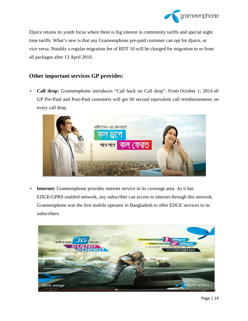

Djuice retains its youth focus where there is big interest in community tariffs and special night time tariffs. What's new is that any Grameenphone pre-paid customer can opt for djuice, or vice versa. Notably a regular migration fee of BDT 10 will be charged for migration to or from all packages after 13 April 2010.

#### **Other important services GP provides:**

• **Call drop:** Grameenphone introduces "Call back on Call drop". From October 1, 2014 all GP Pre-Paid and Post-Paid customers will get 60 second equivalent call reimbursements on every call drop.



**Internet:** Grameenphone provides internet service in its coverage area. As it has EDGE/GPRS enabled network, any subscriber can access to internet through this network. Grameenphone was the first mobile operator in Bangladesh to offer EDGE services to its subscribers.

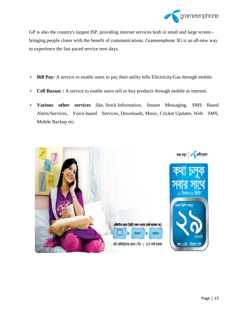

GP is also the country's largest ISP, providing internet services both in small and large screen bringing people closer with the benefit of communications. Grameenphone 3G is an all-new way to experience the fast paced service now days.

- **Bill Pay:** A service to enable users to pay their utility bills Electricity/Gas through mobile.
- **Cell Bazaar :** A service to enable users sell or buy products through mobile or internet.
- **Various other services** like, Stock Information, Instant Messaging, SMS Based Alerts/Services, Voice-based Services, Downloads, Music, Cricket Updates, Web SMS, Mobile Backup etc.

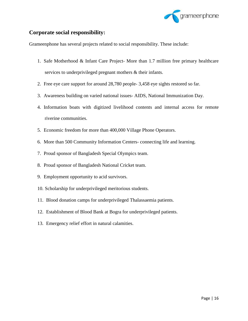

#### **Corporate social responsibility:**

Grameenphone has several projects related to social responsibility. These include:

- 1. Safe Motherhood & Infant Care Project- More than 1.7 million free primary healthcare services to underprivileged pregnant mothers & their infants.
- 2. Free eye care support for around 28,780 people- 3,458 eye sights restored so far.
- 3. Awareness building on varied national issues- AIDS, National Immunization Day.
- 4. Information boats with digitized livelihood contents and internal access for remote riverine communities.
- 5. Economic freedom for more than 400,000 Village Phone Operators.
- 6. More than 500 Community Information Centers- connecting life and learning.
- 7. Proud sponsor of Bangladesh Special Olympics team.
- 8. Proud sponsor of Bangladesh National Cricket team.
- 9. Employment opportunity to acid survivors.
- 10. Scholarship for underprivileged meritorious students.
- 11. Blood donation camps for underprivileged Thalassaemia patients.
- 12. Establishment of Blood Bank at Bogra for underprivileged patients.
- 13. Emergency relief effort in natural calamities.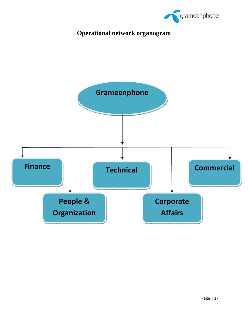

## **Operational network organogram**

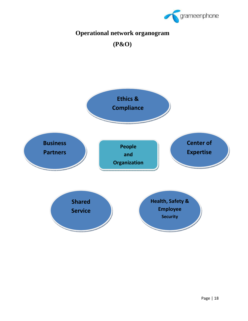

## **Operational network organogram**

**(P&O)** 

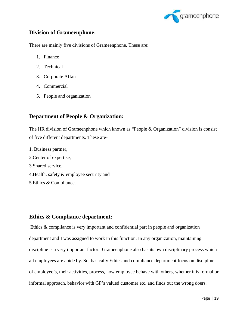

#### **Division of Grameenphone:**

There are mainly five divisions of Grameenphone. These are:

- 1. Finance
- 2. Technical
- 3. Corporate Affair
- 4. Comm**e**rcial
- 5. People and organization

#### **Department of People & Organization:**

The HR division of Grameenphone which known as "People & Organization" division is consist of five different departments. These are-

- 1. Business partner,
- 2.Center of expertise,
- 3.Shared service,
- 4.Health, safety & employee security and
- 5.Ethics & Compliance.

#### **Ethics & Compliance department:**

 Ethics & compliance is very important and confidential part in people and organization department and I was assigned to work in this function. In any organization, maintaining discipline is a very important factor. Grameenphone also has its own disciplinary process which all employees are abide by. So, basically Ethics and compliance department focus on discipline of employee's, their activities, process, how employee behave with others, whether it is formal or informal approach, behavior with GP's valued customer etc. and finds out the wrong doers.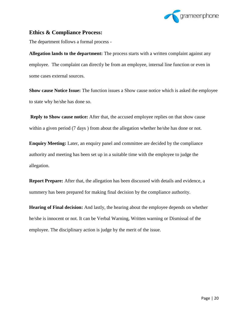

#### **Ethics & Compliance Process:**

The department follows a formal process -

**Allegation lands to the department:** The process starts with a written complaint against any employee. The complaint can directly be from an employee, internal line function or even in some cases external sources.

**Show cause Notice Issue:** The function issues a Show cause notice which is asked the employee to state why he/she has done so.

**Reply to Show cause notice:** After that, the accused employee replies on that show cause within a given period (7 days) from about the allegation whether he/she has done or not.

**Enquiry Meeting:** Later, an enquiry panel and committee are decided by the compliance authority and meeting has been set up in a suitable time with the employee to judge the allegation.

**Report Prepare:** After that, the allegation has been discussed with details and evidence, a summery has been prepared for making final decision by the compliance authority.

**Hearing of Final decision:** And lastly, the hearing about the employee depends on whether he/she is innocent or not. It can be Verbal Warning, Written warning or Dismissal of the employee. The disciplinary action is judge by the merit of the issue.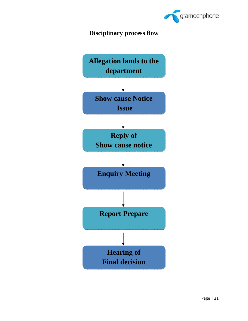

### **Disciplinary process flow**

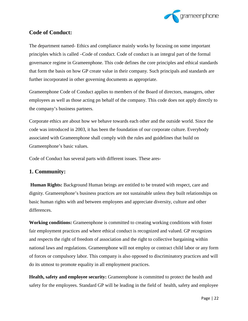

#### **Code of Conduct:**

The department named- Ethics and compliance mainly works by focusing on some important principles which is called –Code of conduct. Code of conduct is an integral part of the formal governance regime in Grameenphone. This code defines the core principles and ethical standards that form the basis on how GP create value in their company. Such principals and standards are further incorporated in other governing documents as appropriate.

Grameenphone Code of Conduct applies to members of the Board of directors, managers, other employees as well as those acting pn behalf of the company. This code does not apply directly to the company's business partners.

Corporate ethics are about how we behave towards each other and the outside world. Since the code was introduced in 2003, it has been the foundation of our corporate culture. Everybody associated with Grameenphone shall comply with the rules and guidelines that build on Grameenphone's basic values.

Code of Conduct has several parts with different issues. These ares-

#### **1. Community:**

**Human Rights:** Background Human beings are entitled to be treated with respect, care and dignity. Grameenphone's business practices are not sustainable unless they built relationships on basic human rights with and between employees and appreciate diversity, culture and other differences.

**Working conditions:** Grameenphone is committed to creating working conditions with foster fair employment practices and where ethical conduct is recognized and valued. GP recognizes and respects the right of freedom of association and the right to collective bargaining within national laws and regulations. Grameenphone will not employ or contract child labor or any form of forces or compulsory labor. This company is also opposed to discriminatory practices and will do its utmost to promote equality in all employment practices.

**Health, safety and employee security:** Grameenphone is committed to protect the health and safety for the employees. Standard GP will be leading in the field of health, safety and employee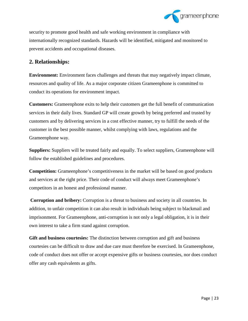

security to promote good health and safe working environment in compliance with internationally recognized standards. Hazards will be identified, mitigated and monitored to prevent accidents and occupational diseases.

#### **2. Relationships:**

**Environment:** Environment faces challenges and threats that may negatively impact climate, resources and quality of life. As a major corporate citizen Grameenphone is committed to conduct its operations for environment impact.

**Customers:** Grameenphone exits to help their customers get the full benefit of communication services in their daily lives. Standard GP will create growth by being preferred and trusted by customers and by delivering services in a cost effective manner, try to fulfill the needs of the customer in the best possible manner, whilst complying with laws, regulations and the Grameenphone way.

**Suppliers:** Suppliers will be treated fairly and equally. To select suppliers, Grameenphone will follow the established guidelines and procedures.

**Competition:** Grameenphone's competitiveness in the market will be based on good products and services at the right price. Their code of conduct will always meet Grameenphone's competitors in an honest and professional manner.

**Corruption and bribery:** Corruption is a threat to business and society in all countries. In addition, to unfair competition it can also result in individuals being subject to blackmail and imprisonment. For Grameenphone, anti-corruption is not only a legal obligation, it is in their own interest to take a firm stand against corruption.

**Gift and business courtesies:** The distinction between corruption and gift and business courtesies can be difficult to draw and due care must therefore be exercised. In Grameenphone, code of conduct does not offer or accept expensive gifts or business courtesies, nor does conduct offer any cash equivalents as gifts.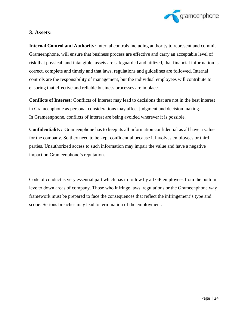

#### **3. Assets:**

**Internal Control and Authority:** Internal controls including authority to represent and commit Grameenphone, will ensure that business process are effective and carry an acceptable level of risk that physical and intangible assets are safeguarded and utilized, that financial information is correct, complete and timely and that laws, regulations and guidelines are followed. Internal controls are the responsibility of management, but the individual employees will contribute to ensuring that effective and reliable business processes are in place.

**Conflicts of Interest:** Conflicts of Interest may lead to decisions that are not in the best interest in Grameenphone as personal considerations may affect judgment and decision making. In Grameenphone, conflicts of interest are being avoided wherever it is possible.

**Confidentiality:** Grameenphone has to keep its all information confidential as all have a value for the company. So they need to be kept confidential because it involves employees or third parties. Unauthorized access to such information may impair the value and have a negative impact on Grameenphone's reputation.

Code of conduct is very essential part which has to follow by all GP employees from the bottom leve to down areas of company. Those who infringe laws, regulations or the Grameenphone way framework must be prepared to face the consequences that reflect the infringement's type and scope. Serious breaches may lead to termination of the employment.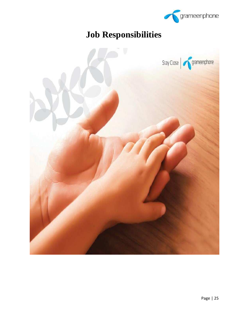

# **Job Responsibilities**

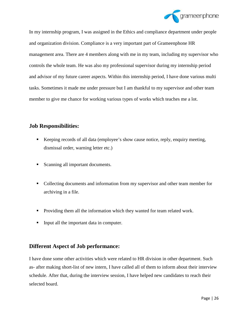

In my internship program, I was assigned in the Ethics and compliance department under people and organization division. Compliance is a very important part of Grameenphone HR management area. There are 4 members along with me in my team, including my supervisor who controls the whole team. He was also my professional supervisor during my internship period and advisor of my future career aspects. Within this internship period, I have done various multi tasks. Sometimes it made me under pressure but I am thankful to my supervisor and other team member to give me chance for working various types of works which teaches me a lot.

#### **Job Responsibilities:**

- Keeping records of all data (employee's show cause notice, reply, enquiry meeting, dismissal order, warning letter etc.)
- Scanning all important documents.
- Collecting documents and information from my supervisor and other team member for archiving in a file.
- **Providing them all the information which they wanted for team related work.**
- Input all the important data in computer.

#### **Different Aspect of Job performance:**

I have done some other activities which were related to HR division in other department. Such as- after making short-list of new intern, I have called all of them to inform about their interview schedule. After that, during the interview session, I have helped new candidates to reach their selected board.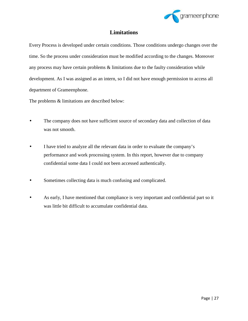

#### **Limitations**

Every Process is developed under certain conditions. Those conditions undergo changes over the time. So the process under consideration must be modified according to the changes. Moreover any process may have certain problems & limitations due to the faulty consideration while development. As I was assigned as an intern, so I did not have enough permission to access all department of Grameenphone.

The problems & limitations are described below:

- The company does not have sufficient source of secondary data and collection of data was not smooth.
- I have tried to analyze all the relevant data in order to evaluate the company's performance and work processing system. In this report, however due to company confidential some data I could not been accessed authentically.
- Sometimes collecting data is much confusing and complicated.
- As early, I have mentioned that compliance is very important and confidential part so it was little bit difficult to accumulate confidential data.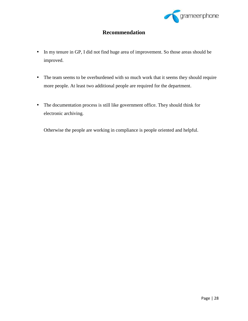

### **Recommendation**

- In my tenure in GP, I did not find huge area of improvement. So those areas should be improved.
- The team seems to be overburdened with so much work that it seems they should require more people. At least two additional people are required for the department.
- The documentation process is still like government office. They should think for electronic archiving.

Otherwise the people are working in compliance is people oriented and helpful.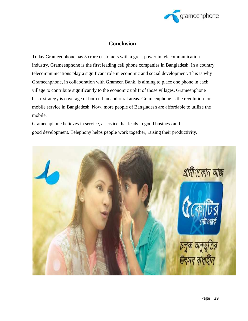

#### **Conclusion**

Today Grameenphone has 5 crore customers with a great power in telecommunication industry. Grameenphone is the first leading cell phone companies in Bangladesh. In a country, telecommunications play a significant role in economic and social development. This is why Grameenphone, in collaboration with Grameen Bank, is aiming to place one phone in each village to contribute significantly to the economic uplift of those villages. Grameenphone basic strategy is coverage of both urban and rural areas. Grameenphone is the revolution for mobile service in Bangladesh. Now, more people of Bangladesh are affordable to utilize the mobile.

Grameenphone believes in service, a service that leads to good business and good development. Telephony helps people work together, raising their productivity.